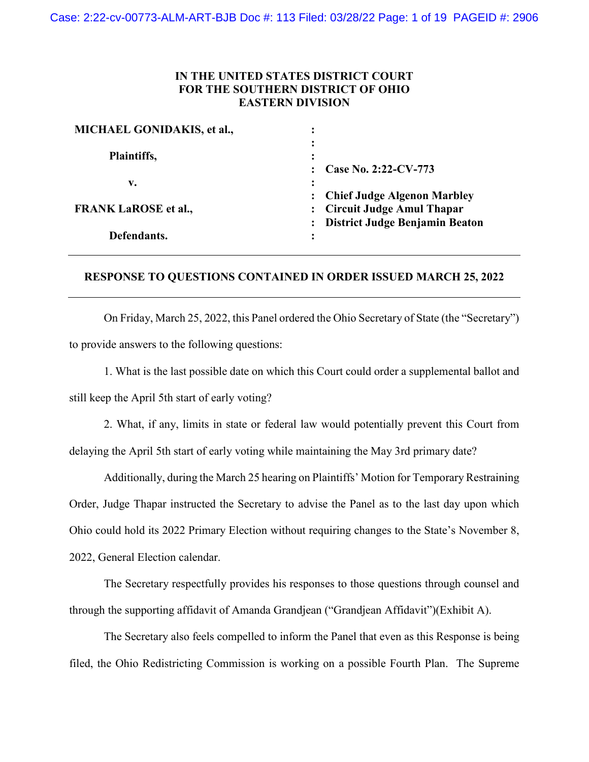# **IN THE UNITED STATES DISTRICT COURT FOR THE SOUTHERN DISTRICT OF OHIO EASTERN DIVISION**

| MICHAEL GONIDAKIS, et al.,  | ٠<br>$\bullet$                                                                                             |
|-----------------------------|------------------------------------------------------------------------------------------------------------|
| Plaintiffs,                 | $\ddot{\cdot}$<br>٠<br>$\bullet$<br>Case No. 2:22-CV-773                                                   |
| v.                          | ٠<br>$\bullet$                                                                                             |
| <b>FRANK LaROSE et al.,</b> | <b>Chief Judge Algenon Marbley</b><br><b>Circuit Judge Amul Thapar</b><br>: District Judge Benjamin Beaton |
| Defendants.                 | ፡                                                                                                          |

## **RESPONSE TO QUESTIONS CONTAINED IN ORDER ISSUED MARCH 25, 2022**

On Friday, March 25, 2022, this Panel ordered the Ohio Secretary of State (the "Secretary") to provide answers to the following questions:

1. What is the last possible date on which this Court could order a supplemental ballot and still keep the April 5th start of early voting?

2. What, if any, limits in state or federal law would potentially prevent this Court from delaying the April 5th start of early voting while maintaining the May 3rd primary date?

Additionally, during the March 25 hearing on Plaintiffs' Motion for Temporary Restraining Order, Judge Thapar instructed the Secretary to advise the Panel as to the last day upon which Ohio could hold its 2022 Primary Election without requiring changes to the State's November 8, 2022, General Election calendar.

The Secretary respectfully provides his responses to those questions through counsel and through the supporting affidavit of Amanda Grandjean ("Grandjean Affidavit")(Exhibit A).

The Secretary also feels compelled to inform the Panel that even as this Response is being filed, the Ohio Redistricting Commission is working on a possible Fourth Plan. The Supreme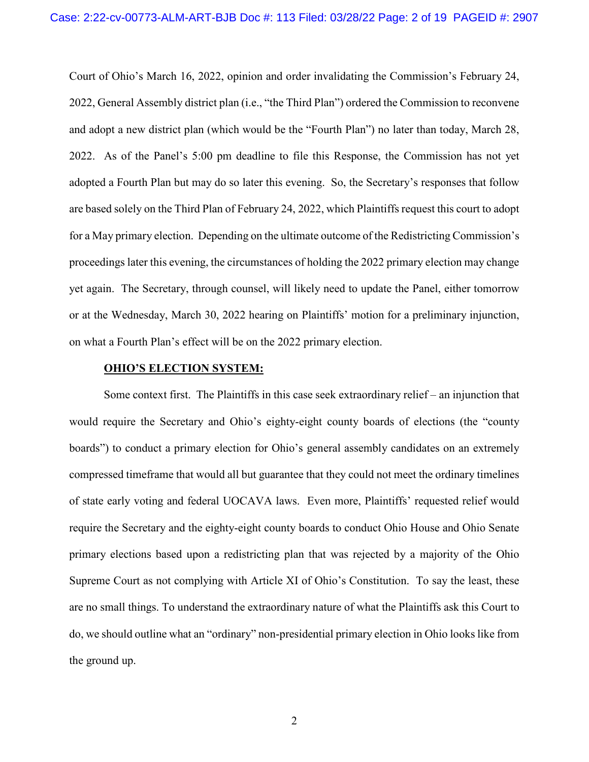Court of Ohio's March 16, 2022, opinion and order invalidating the Commission's February 24, 2022, General Assembly district plan (i.e., "the Third Plan") ordered the Commission to reconvene and adopt a new district plan (which would be the "Fourth Plan") no later than today, March 28, 2022. As of the Panel's 5:00 pm deadline to file this Response, the Commission has not yet adopted a Fourth Plan but may do so later this evening. So, the Secretary's responses that follow are based solely on the Third Plan of February 24, 2022, which Plaintiffs request this court to adopt for a May primary election. Depending on the ultimate outcome of the Redistricting Commission's proceedings later this evening, the circumstances of holding the 2022 primary election may change yet again. The Secretary, through counsel, will likely need to update the Panel, either tomorrow or at the Wednesday, March 30, 2022 hearing on Plaintiffs' motion for a preliminary injunction, on what a Fourth Plan's effect will be on the 2022 primary election.

## **OHIO'S ELECTION SYSTEM:**

Some context first. The Plaintiffs in this case seek extraordinary relief – an injunction that would require the Secretary and Ohio's eighty-eight county boards of elections (the "county boards") to conduct a primary election for Ohio's general assembly candidates on an extremely compressed timeframe that would all but guarantee that they could not meet the ordinary timelines of state early voting and federal UOCAVA laws. Even more, Plaintiffs' requested relief would require the Secretary and the eighty-eight county boards to conduct Ohio House and Ohio Senate primary elections based upon a redistricting plan that was rejected by a majority of the Ohio Supreme Court as not complying with Article XI of Ohio's Constitution. To say the least, these are no small things. To understand the extraordinary nature of what the Plaintiffs ask this Court to do, we should outline what an "ordinary" non-presidential primary election in Ohio looks like from the ground up.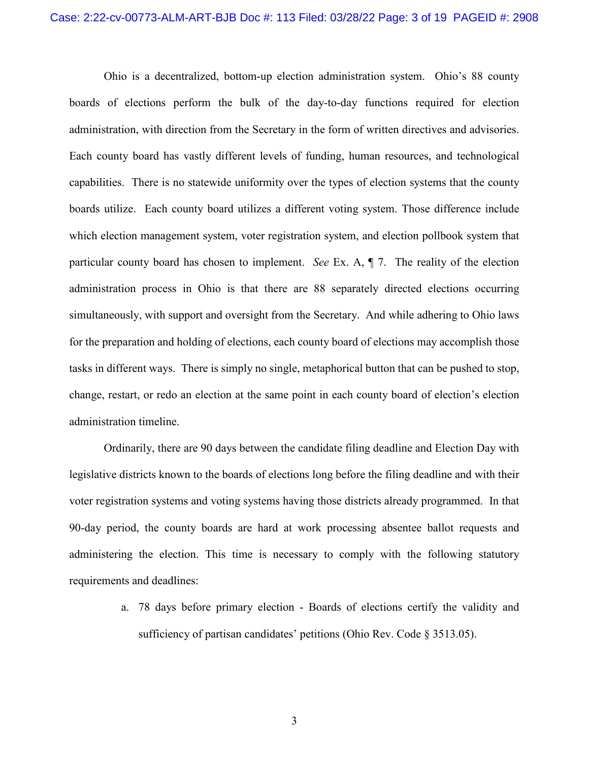Ohio is a decentralized, bottom-up election administration system. Ohio's 88 county boards of elections perform the bulk of the day-to-day functions required for election administration, with direction from the Secretary in the form of written directives and advisories. Each county board has vastly different levels of funding, human resources, and technological capabilities. There is no statewide uniformity over the types of election systems that the county boards utilize. Each county board utilizes a different voting system. Those difference include which election management system, voter registration system, and election pollbook system that particular county board has chosen to implement. *See* Ex. A, ¶ 7. The reality of the election administration process in Ohio is that there are 88 separately directed elections occurring simultaneously, with support and oversight from the Secretary. And while adhering to Ohio laws for the preparation and holding of elections, each county board of elections may accomplish those tasks in different ways. There is simply no single, metaphorical button that can be pushed to stop, change, restart, or redo an election at the same point in each county board of election's election administration timeline.

Ordinarily, there are 90 days between the candidate filing deadline and Election Day with legislative districts known to the boards of elections long before the filing deadline and with their voter registration systems and voting systems having those districts already programmed. In that 90-day period, the county boards are hard at work processing absentee ballot requests and administering the election. This time is necessary to comply with the following statutory requirements and deadlines:

> a. 78 days before primary election - Boards of elections certify the validity and sufficiency of partisan candidates' petitions (Ohio Rev. Code § 3513.05).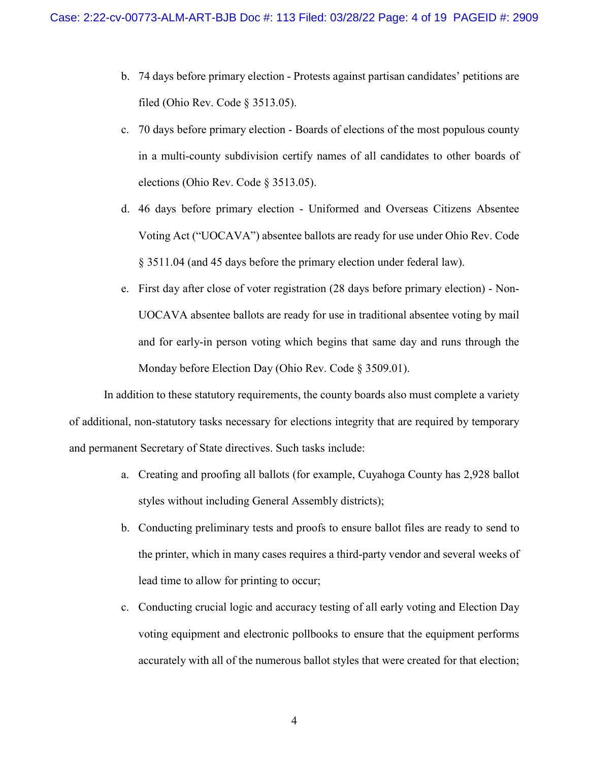- b. 74 days before primary election Protests against partisan candidates' petitions are filed (Ohio Rev. Code § 3513.05).
- c. 70 days before primary election Boards of elections of the most populous county in a multi-county subdivision certify names of all candidates to other boards of elections (Ohio Rev. Code § 3513.05).
- d. 46 days before primary election Uniformed and Overseas Citizens Absentee Voting Act ("UOCAVA") absentee ballots are ready for use under Ohio Rev. Code § 3511.04 (and 45 days before the primary election under federal law).
- e. First day after close of voter registration (28 days before primary election) Non-UOCAVA absentee ballots are ready for use in traditional absentee voting by mail and for early-in person voting which begins that same day and runs through the Monday before Election Day (Ohio Rev. Code § 3509.01).

In addition to these statutory requirements, the county boards also must complete a variety of additional, non-statutory tasks necessary for elections integrity that are required by temporary and permanent Secretary of State directives. Such tasks include:

- a. Creating and proofing all ballots (for example, Cuyahoga County has 2,928 ballot styles without including General Assembly districts);
- b. Conducting preliminary tests and proofs to ensure ballot files are ready to send to the printer, which in many cases requires a third-party vendor and several weeks of lead time to allow for printing to occur;
- c. Conducting crucial logic and accuracy testing of all early voting and Election Day voting equipment and electronic pollbooks to ensure that the equipment performs accurately with all of the numerous ballot styles that were created for that election;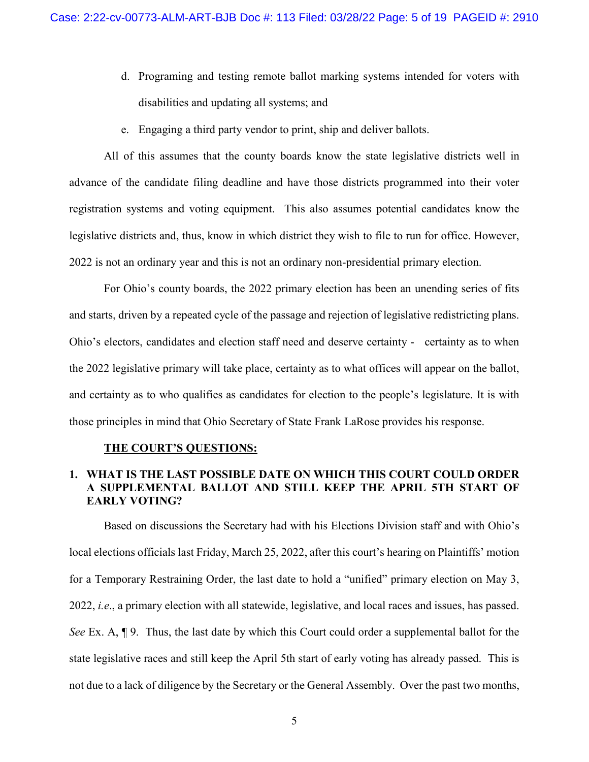- d. Programing and testing remote ballot marking systems intended for voters with disabilities and updating all systems; and
- e. Engaging a third party vendor to print, ship and deliver ballots.

All of this assumes that the county boards know the state legislative districts well in advance of the candidate filing deadline and have those districts programmed into their voter registration systems and voting equipment. This also assumes potential candidates know the legislative districts and, thus, know in which district they wish to file to run for office. However, 2022 is not an ordinary year and this is not an ordinary non-presidential primary election.

For Ohio's county boards, the 2022 primary election has been an unending series of fits and starts, driven by a repeated cycle of the passage and rejection of legislative redistricting plans. Ohio's electors, candidates and election staff need and deserve certainty - certainty as to when the 2022 legislative primary will take place, certainty as to what offices will appear on the ballot, and certainty as to who qualifies as candidates for election to the people's legislature. It is with those principles in mind that Ohio Secretary of State Frank LaRose provides his response.

## **THE COURT'S QUESTIONS:**

# **1. WHAT IS THE LAST POSSIBLE DATE ON WHICH THIS COURT COULD ORDER A SUPPLEMENTAL BALLOT AND STILL KEEP THE APRIL 5TH START OF EARLY VOTING?**

Based on discussions the Secretary had with his Elections Division staff and with Ohio's local elections officials last Friday, March 25, 2022, after this court's hearing on Plaintiffs' motion for a Temporary Restraining Order, the last date to hold a "unified" primary election on May 3, 2022, *i.e*., a primary election with all statewide, legislative, and local races and issues, has passed. *See* Ex. A, ¶ 9. Thus, the last date by which this Court could order a supplemental ballot for the state legislative races and still keep the April 5th start of early voting has already passed. This is not due to a lack of diligence by the Secretary or the General Assembly. Over the past two months,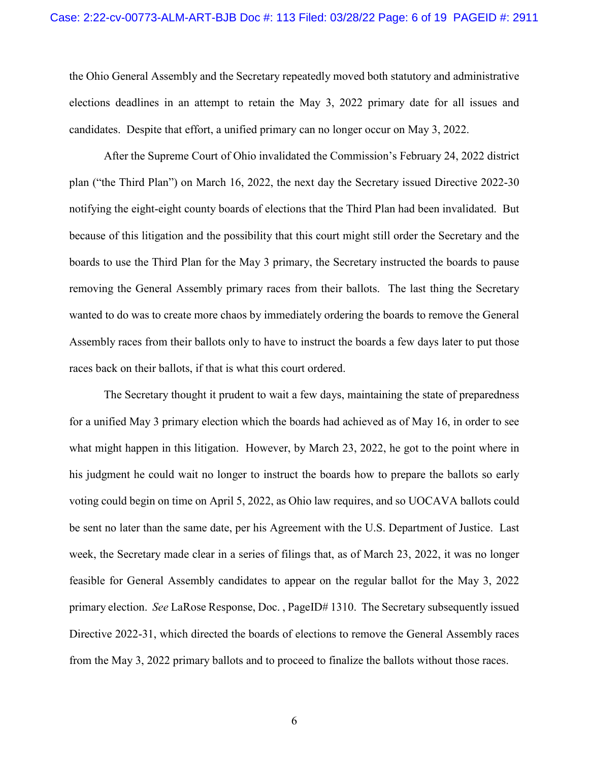the Ohio General Assembly and the Secretary repeatedly moved both statutory and administrative elections deadlines in an attempt to retain the May 3, 2022 primary date for all issues and candidates. Despite that effort, a unified primary can no longer occur on May 3, 2022.

After the Supreme Court of Ohio invalidated the Commission's February 24, 2022 district plan ("the Third Plan") on March 16, 2022, the next day the Secretary issued Directive 2022-30 notifying the eight-eight county boards of elections that the Third Plan had been invalidated. But because of this litigation and the possibility that this court might still order the Secretary and the boards to use the Third Plan for the May 3 primary, the Secretary instructed the boards to pause removing the General Assembly primary races from their ballots. The last thing the Secretary wanted to do was to create more chaos by immediately ordering the boards to remove the General Assembly races from their ballots only to have to instruct the boards a few days later to put those races back on their ballots, if that is what this court ordered.

The Secretary thought it prudent to wait a few days, maintaining the state of preparedness for a unified May 3 primary election which the boards had achieved as of May 16, in order to see what might happen in this litigation. However, by March 23, 2022, he got to the point where in his judgment he could wait no longer to instruct the boards how to prepare the ballots so early voting could begin on time on April 5, 2022, as Ohio law requires, and so UOCAVA ballots could be sent no later than the same date, per his Agreement with the U.S. Department of Justice. Last week, the Secretary made clear in a series of filings that, as of March 23, 2022, it was no longer feasible for General Assembly candidates to appear on the regular ballot for the May 3, 2022 primary election. *See* LaRose Response, Doc. , PageID# 1310. The Secretary subsequently issued Directive 2022-31, which directed the boards of elections to remove the General Assembly races from the May 3, 2022 primary ballots and to proceed to finalize the ballots without those races.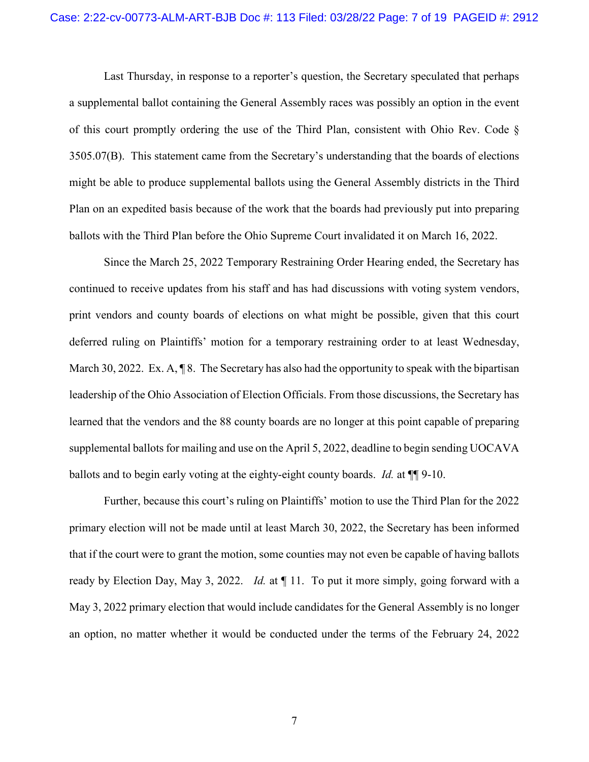Last Thursday, in response to a reporter's question, the Secretary speculated that perhaps a supplemental ballot containing the General Assembly races was possibly an option in the event of this court promptly ordering the use of the Third Plan, consistent with Ohio Rev. Code § 3505.07(B). This statement came from the Secretary's understanding that the boards of elections might be able to produce supplemental ballots using the General Assembly districts in the Third Plan on an expedited basis because of the work that the boards had previously put into preparing ballots with the Third Plan before the Ohio Supreme Court invalidated it on March 16, 2022.

Since the March 25, 2022 Temporary Restraining Order Hearing ended, the Secretary has continued to receive updates from his staff and has had discussions with voting system vendors, print vendors and county boards of elections on what might be possible, given that this court deferred ruling on Plaintiffs' motion for a temporary restraining order to at least Wednesday, March 30, 2022. Ex.  $A, \P$  8. The Secretary has also had the opportunity to speak with the bipartisan leadership of the Ohio Association of Election Officials. From those discussions, the Secretary has learned that the vendors and the 88 county boards are no longer at this point capable of preparing supplemental ballots for mailing and use on the April 5, 2022, deadline to begin sending UOCAVA ballots and to begin early voting at the eighty-eight county boards. *Id.* at ¶¶ 9-10.

Further, because this court's ruling on Plaintiffs' motion to use the Third Plan for the 2022 primary election will not be made until at least March 30, 2022, the Secretary has been informed that if the court were to grant the motion, some counties may not even be capable of having ballots ready by Election Day, May 3, 2022. *Id.* at ¶ 11. To put it more simply, going forward with a May 3, 2022 primary election that would include candidates for the General Assembly is no longer an option, no matter whether it would be conducted under the terms of the February 24, 2022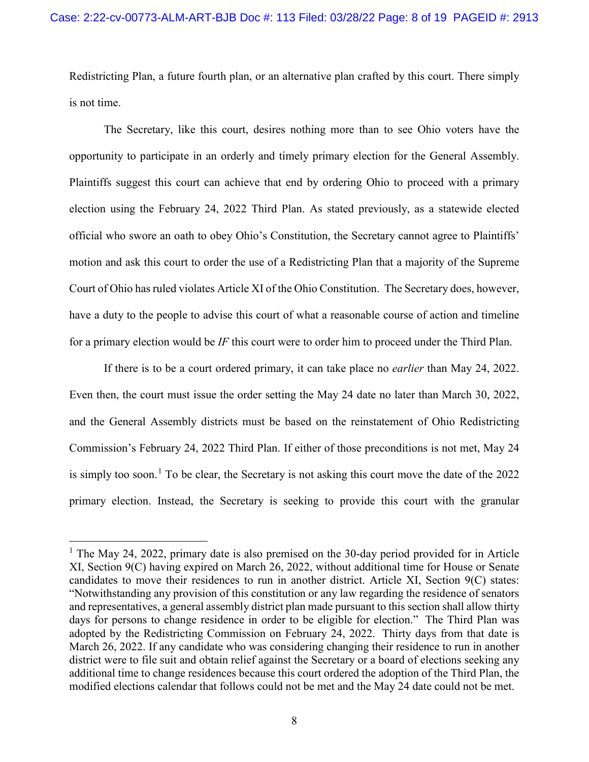Redistricting Plan, a future fourth plan, or an alternative plan crafted by this court. There simply is not time.

The Secretary, like this court, desires nothing more than to see Ohio voters have the opportunity to participate in an orderly and timely primary election for the General Assembly. Plaintiffs suggest this court can achieve that end by ordering Ohio to proceed with a primary election using the February 24, 2022 Third Plan. As stated previously, as a statewide elected official who swore an oath to obey Ohio's Constitution, the Secretary cannot agree to Plaintiffs' motion and ask this court to order the use of a Redistricting Plan that a majority of the Supreme Court of Ohio has ruled violates Article XI of the Ohio Constitution. The Secretary does, however, have a duty to the people to advise this court of what a reasonable course of action and timeline for a primary election would be *IF* this court were to order him to proceed under the Third Plan.

If there is to be a court ordered primary, it can take place no *earlier* than May 24, 2022. Even then, the court must issue the order setting the May 24 date no later than March 30, 2022, and the General Assembly districts must be based on the reinstatement of Ohio Redistricting Commission's February 24, 2022 Third Plan. If either of those preconditions is not met, May 24 is simply too soon.<sup>1</sup> To be clear, the Secretary is not asking this court move the date of the  $2022$ primary election. Instead, the Secretary is seeking to provide this court with the granular

<sup>&</sup>lt;sup>1</sup> The May 24, 2022, primary date is also premised on the 30-day period provided for in Article XI, Section 9(C) having expired on March 26, 2022, without additional time for House or Senate candidates to move their residences to run in another district. Article XI, Section 9(C) states: "Notwithstanding any provision of this constitution or any law regarding the residence of senators and representatives, a general assembly district plan made pursuant to this section shall allow thirty days for persons to change residence in order to be eligible for election." The Third Plan was adopted by the Redistricting Commission on February 24, 2022. Thirty days from that date is March 26, 2022. If any candidate who was considering changing their residence to run in another district were to file suit and obtain relief against the Secretary or a board of elections seeking any additional time to change residences because this court ordered the adoption of the Third Plan, the modified elections calendar that follows could not be met and the May 24 date could not be met.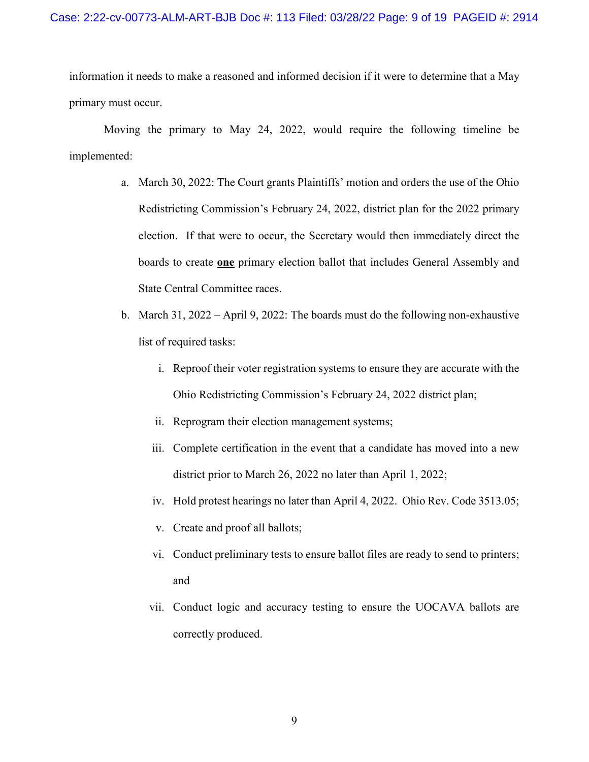information it needs to make a reasoned and informed decision if it were to determine that a May primary must occur.

Moving the primary to May 24, 2022, would require the following timeline be implemented:

- a. March 30, 2022: The Court grants Plaintiffs' motion and orders the use of the Ohio Redistricting Commission's February 24, 2022, district plan for the 2022 primary election. If that were to occur, the Secretary would then immediately direct the boards to create **one** primary election ballot that includes General Assembly and State Central Committee races.
- b. March 31, 2022 April 9, 2022: The boards must do the following non-exhaustive list of required tasks:
	- i. Reproof their voter registration systems to ensure they are accurate with the Ohio Redistricting Commission's February 24, 2022 district plan;
	- ii. Reprogram their election management systems;
	- iii. Complete certification in the event that a candidate has moved into a new district prior to March 26, 2022 no later than April 1, 2022;
	- iv. Hold protest hearings no later than April 4, 2022. Ohio Rev. Code 3513.05;
	- v. Create and proof all ballots;
	- vi. Conduct preliminary tests to ensure ballot files are ready to send to printers; and
	- vii. Conduct logic and accuracy testing to ensure the UOCAVA ballots are correctly produced.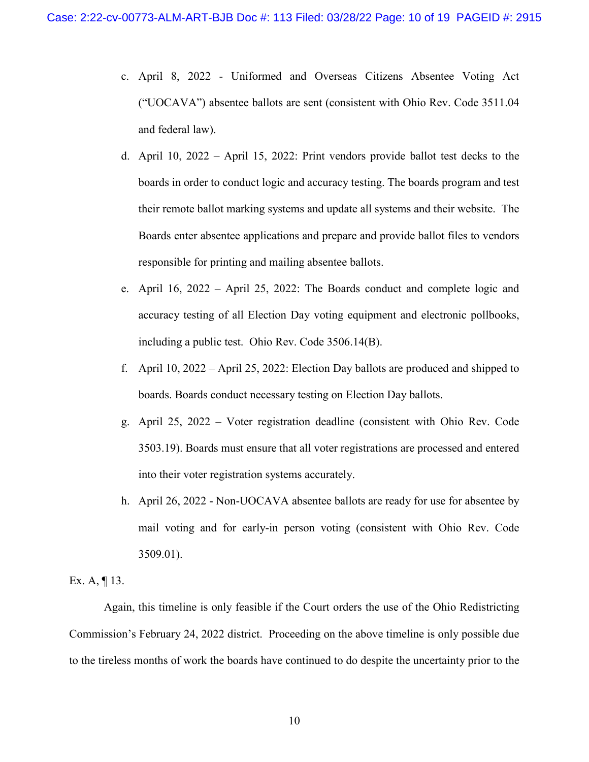- c. April 8, 2022 Uniformed and Overseas Citizens Absentee Voting Act ("UOCAVA") absentee ballots are sent (consistent with Ohio Rev. Code 3511.04 and federal law).
- d. April 10, 2022 April 15, 2022: Print vendors provide ballot test decks to the boards in order to conduct logic and accuracy testing. The boards program and test their remote ballot marking systems and update all systems and their website. The Boards enter absentee applications and prepare and provide ballot files to vendors responsible for printing and mailing absentee ballots.
- e. April 16, 2022 April 25, 2022: The Boards conduct and complete logic and accuracy testing of all Election Day voting equipment and electronic pollbooks, including a public test. Ohio Rev. Code 3506.14(B).
- f. April 10, 2022 April 25, 2022: Election Day ballots are produced and shipped to boards. Boards conduct necessary testing on Election Day ballots.
- g. April 25, 2022 Voter registration deadline (consistent with Ohio Rev. Code 3503.19). Boards must ensure that all voter registrations are processed and entered into their voter registration systems accurately.
- h. April 26, 2022 Non-UOCAVA absentee ballots are ready for use for absentee by mail voting and for early-in person voting (consistent with Ohio Rev. Code 3509.01).

Ex. A,  $\P$  13.

Again, this timeline is only feasible if the Court orders the use of the Ohio Redistricting Commission's February 24, 2022 district. Proceeding on the above timeline is only possible due to the tireless months of work the boards have continued to do despite the uncertainty prior to the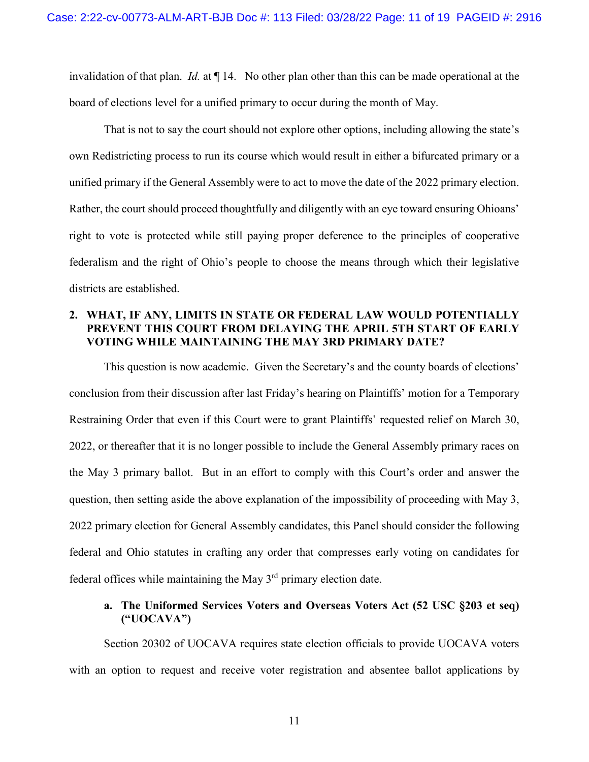invalidation of that plan. *Id.* at ¶ 14. No other plan other than this can be made operational at the board of elections level for a unified primary to occur during the month of May.

That is not to say the court should not explore other options, including allowing the state's own Redistricting process to run its course which would result in either a bifurcated primary or a unified primary if the General Assembly were to act to move the date of the 2022 primary election. Rather, the court should proceed thoughtfully and diligently with an eye toward ensuring Ohioans' right to vote is protected while still paying proper deference to the principles of cooperative federalism and the right of Ohio's people to choose the means through which their legislative districts are established.

# **2. WHAT, IF ANY, LIMITS IN STATE OR FEDERAL LAW WOULD POTENTIALLY PREVENT THIS COURT FROM DELAYING THE APRIL 5TH START OF EARLY VOTING WHILE MAINTAINING THE MAY 3RD PRIMARY DATE?**

This question is now academic. Given the Secretary's and the county boards of elections' conclusion from their discussion after last Friday's hearing on Plaintiffs' motion for a Temporary Restraining Order that even if this Court were to grant Plaintiffs' requested relief on March 30, 2022, or thereafter that it is no longer possible to include the General Assembly primary races on the May 3 primary ballot. But in an effort to comply with this Court's order and answer the question, then setting aside the above explanation of the impossibility of proceeding with May 3, 2022 primary election for General Assembly candidates, this Panel should consider the following federal and Ohio statutes in crafting any order that compresses early voting on candidates for federal offices while maintaining the May  $3<sup>rd</sup>$  primary election date.

# **a. The Uniformed Services Voters and Overseas Voters Act (52 USC §203 et seq) ("UOCAVA")**

Section 20302 of UOCAVA requires state election officials to provide UOCAVA voters with an option to request and receive voter registration and absentee ballot applications by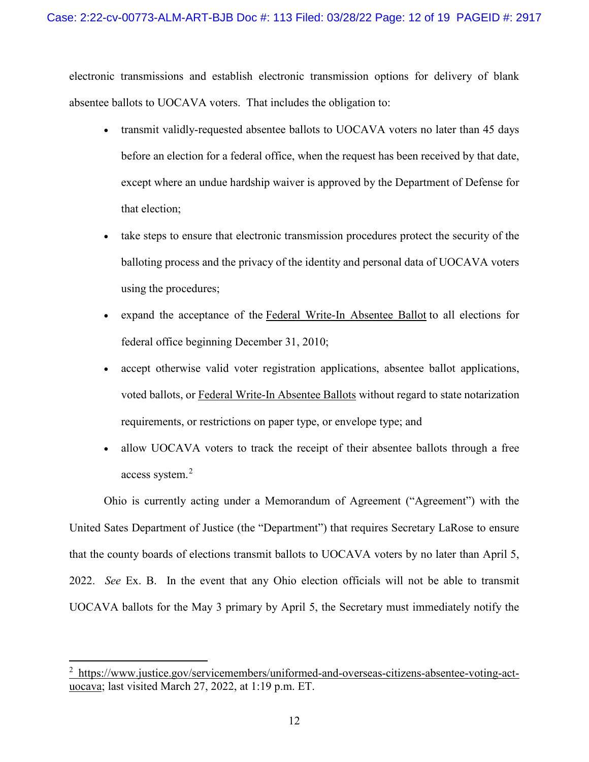electronic transmissions and establish electronic transmission options for delivery of blank absentee ballots to UOCAVA voters. That includes the obligation to:

- transmit validly-requested absentee ballots to UOCAVA voters no later than 45 days before an election for a federal office, when the request has been received by that date, except where an undue hardship waiver is approved by the Department of Defense for that election;
- take steps to ensure that electronic transmission procedures protect the security of the balloting process and the privacy of the identity and personal data of UOCAVA voters using the procedures;
- expand the acceptance of the Federal Write-In Absentee Ballot to all elections for federal office beginning December 31, 2010;
- accept otherwise valid voter registration applications, absentee ballot applications, voted ballots, or Federal Write-In Absentee Ballots without regard to state notarization requirements, or restrictions on paper type, or envelope type; and
- allow UOCAVA voters to track the receipt of their absentee ballots through a free access system.<sup>2</sup>

Ohio is currently acting under a Memorandum of Agreement ("Agreement") with the United Sates Department of Justice (the "Department") that requires Secretary LaRose to ensure that the county boards of elections transmit ballots to UOCAVA voters by no later than April 5, 2022. *See* Ex. B. In the event that any Ohio election officials will not be able to transmit UOCAVA ballots for the May 3 primary by April 5, the Secretary must immediately notify the

 $\overline{a}$ 

<sup>&</sup>lt;sup>2</sup> https://www.justice.gov/servicemembers/uniformed-and-overseas-citizens-absentee-voting-actuocava; last visited March 27, 2022, at 1:19 p.m. ET.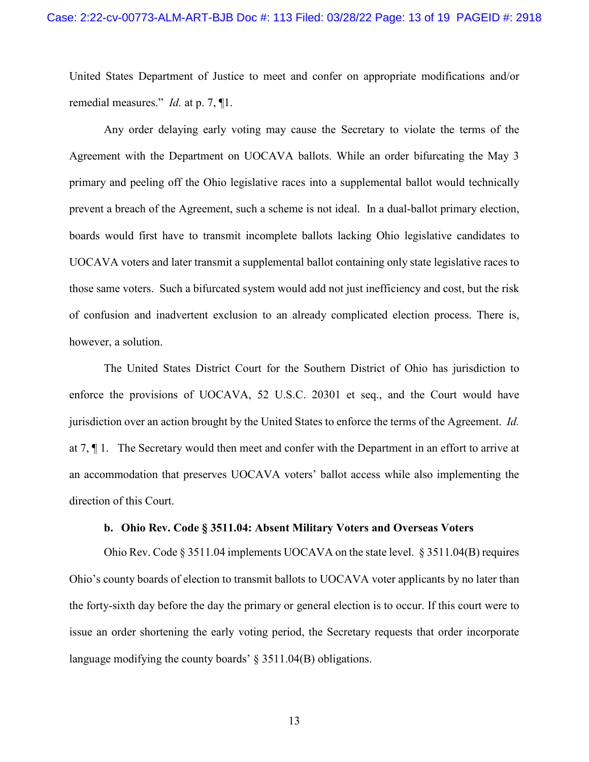United States Department of Justice to meet and confer on appropriate modifications and/or remedial measures." *Id.* at p. 7, ¶1.

Any order delaying early voting may cause the Secretary to violate the terms of the Agreement with the Department on UOCAVA ballots. While an order bifurcating the May 3 primary and peeling off the Ohio legislative races into a supplemental ballot would technically prevent a breach of the Agreement, such a scheme is not ideal. In a dual-ballot primary election, boards would first have to transmit incomplete ballots lacking Ohio legislative candidates to UOCAVA voters and later transmit a supplemental ballot containing only state legislative races to those same voters. Such a bifurcated system would add not just inefficiency and cost, but the risk of confusion and inadvertent exclusion to an already complicated election process. There is, however, a solution.

The United States District Court for the Southern District of Ohio has jurisdiction to enforce the provisions of UOCAVA, 52 U.S.C. 20301 et seq., and the Court would have jurisdiction over an action brought by the United States to enforce the terms of the Agreement. *Id.* at 7, ¶ 1. The Secretary would then meet and confer with the Department in an effort to arrive at an accommodation that preserves UOCAVA voters' ballot access while also implementing the direction of this Court.

## **b. Ohio Rev. Code § 3511.04: Absent Military Voters and Overseas Voters**

Ohio Rev. Code § 3511.04 implements UOCAVA on the state level. § 3511.04(B) requires Ohio's county boards of election to transmit ballots to UOCAVA voter applicants by no later than the forty-sixth day before the day the primary or general election is to occur. If this court were to issue an order shortening the early voting period, the Secretary requests that order incorporate language modifying the county boards' § 3511.04(B) obligations.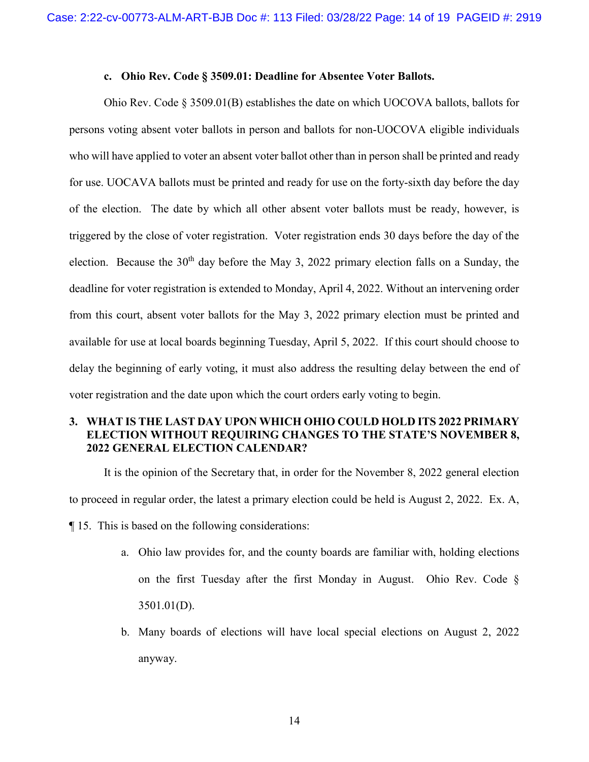#### **c. Ohio Rev. Code § 3509.01: Deadline for Absentee Voter Ballots.**

Ohio Rev. Code § 3509.01(B) establishes the date on which UOCOVA ballots, ballots for persons voting absent voter ballots in person and ballots for non-UOCOVA eligible individuals who will have applied to voter an absent voter ballot other than in person shall be printed and ready for use. UOCAVA ballots must be printed and ready for use on the forty-sixth day before the day of the election. The date by which all other absent voter ballots must be ready, however, is triggered by the close of voter registration. Voter registration ends 30 days before the day of the election. Because the  $30<sup>th</sup>$  day before the May 3, 2022 primary election falls on a Sunday, the deadline for voter registration is extended to Monday, April 4, 2022. Without an intervening order from this court, absent voter ballots for the May 3, 2022 primary election must be printed and available for use at local boards beginning Tuesday, April 5, 2022. If this court should choose to delay the beginning of early voting, it must also address the resulting delay between the end of voter registration and the date upon which the court orders early voting to begin.

# **3. WHAT IS THE LAST DAY UPON WHICH OHIO COULD HOLD ITS 2022 PRIMARY ELECTION WITHOUT REQUIRING CHANGES TO THE STATE'S NOVEMBER 8, 2022 GENERAL ELECTION CALENDAR?**

It is the opinion of the Secretary that, in order for the November 8, 2022 general election to proceed in regular order, the latest a primary election could be held is August 2, 2022. Ex. A, ¶ 15. This is based on the following considerations:

- a. Ohio law provides for, and the county boards are familiar with, holding elections on the first Tuesday after the first Monday in August. Ohio Rev. Code § 3501.01(D).
- b. Many boards of elections will have local special elections on August 2, 2022 anyway.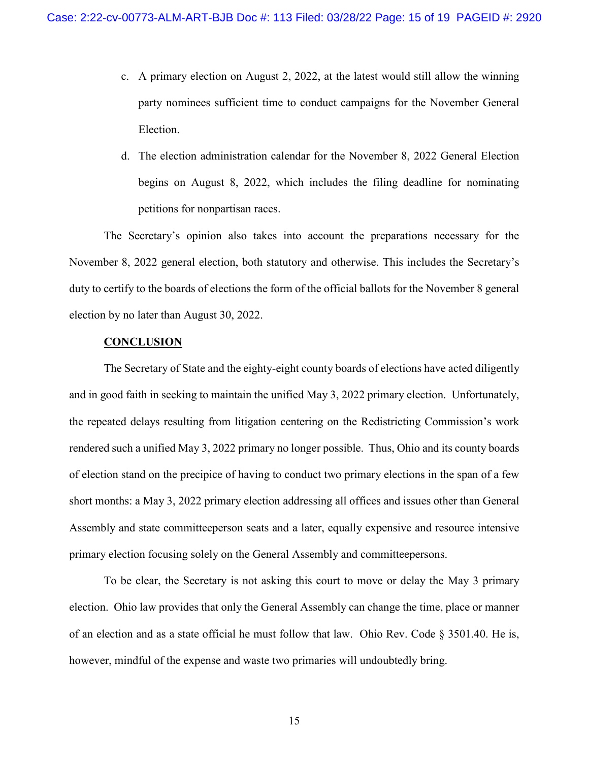- c. A primary election on August 2, 2022, at the latest would still allow the winning party nominees sufficient time to conduct campaigns for the November General Election.
- d. The election administration calendar for the November 8, 2022 General Election begins on August 8, 2022, which includes the filing deadline for nominating petitions for nonpartisan races.

The Secretary's opinion also takes into account the preparations necessary for the November 8, 2022 general election, both statutory and otherwise. This includes the Secretary's duty to certify to the boards of elections the form of the official ballots for the November 8 general election by no later than August 30, 2022.

## **CONCLUSION**

The Secretary of State and the eighty-eight county boards of elections have acted diligently and in good faith in seeking to maintain the unified May 3, 2022 primary election. Unfortunately, the repeated delays resulting from litigation centering on the Redistricting Commission's work rendered such a unified May 3, 2022 primary no longer possible. Thus, Ohio and its county boards of election stand on the precipice of having to conduct two primary elections in the span of a few short months: a May 3, 2022 primary election addressing all offices and issues other than General Assembly and state committeeperson seats and a later, equally expensive and resource intensive primary election focusing solely on the General Assembly and committeepersons.

To be clear, the Secretary is not asking this court to move or delay the May 3 primary election. Ohio law provides that only the General Assembly can change the time, place or manner of an election and as a state official he must follow that law. Ohio Rev. Code  $\S 3501.40$ . He is, however, mindful of the expense and waste two primaries will undoubtedly bring.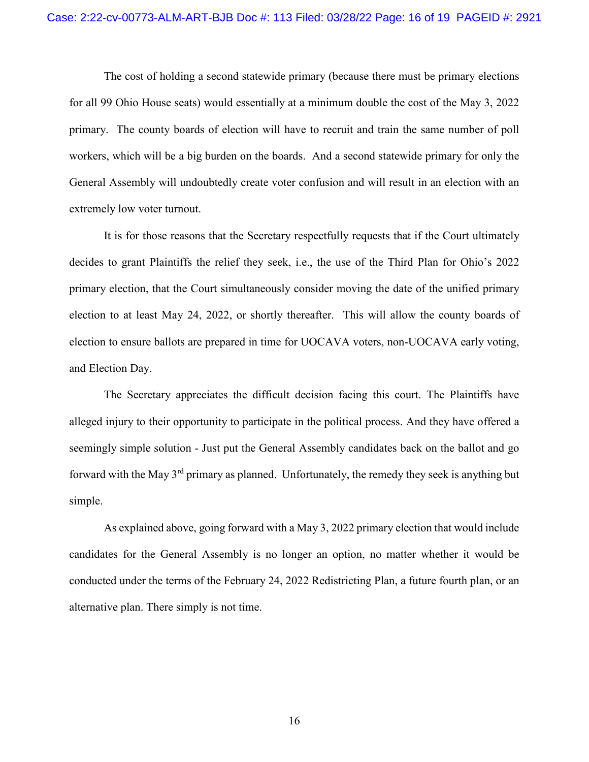The cost of holding a second statewide primary (because there must be primary elections for all 99 Ohio House seats) would essentially at a minimum double the cost of the May 3, 2022 primary. The county boards of election will have to recruit and train the same number of poll workers, which will be a big burden on the boards. And a second statewide primary for only the General Assembly will undoubtedly create voter confusion and will result in an election with an extremely low voter turnout.

It is for those reasons that the Secretary respectfully requests that if the Court ultimately decides to grant Plaintiffs the relief they seek, i.e., the use of the Third Plan for Ohio's 2022 primary election, that the Court simultaneously consider moving the date of the unified primary election to at least May 24, 2022, or shortly thereafter. This will allow the county boards of election to ensure ballots are prepared in time for UOCAVA voters, non-UOCAVA early voting, and Election Day.

The Secretary appreciates the difficult decision facing this court. The Plaintiffs have alleged injury to their opportunity to participate in the political process. And they have offered a seemingly simple solution - Just put the General Assembly candidates back on the ballot and go forward with the May 3rd primary as planned. Unfortunately, the remedy they seek is anything but simple.

As explained above, going forward with a May 3, 2022 primary election that would include candidates for the General Assembly is no longer an option, no matter whether it would be conducted under the terms of the February 24, 2022 Redistricting Plan, a future fourth plan, or an alternative plan. There simply is not time.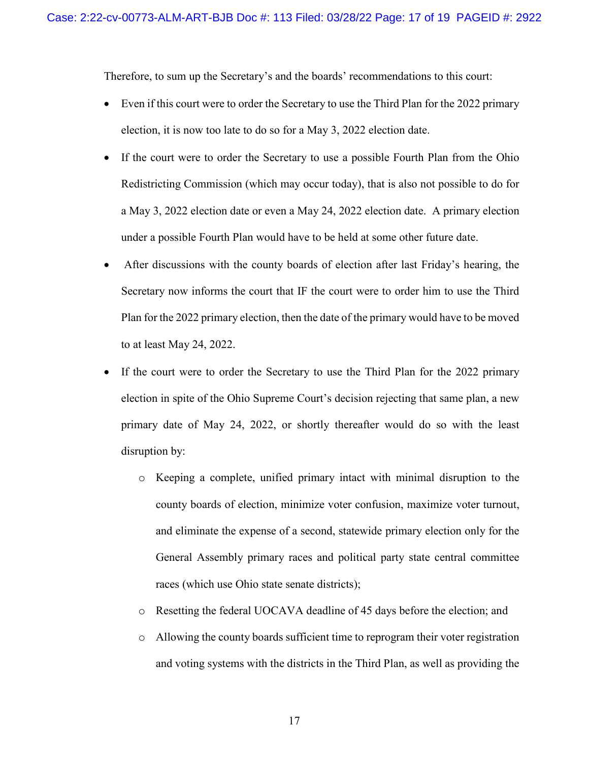Therefore, to sum up the Secretary's and the boards' recommendations to this court:

- Even if this court were to order the Secretary to use the Third Plan for the 2022 primary election, it is now too late to do so for a May 3, 2022 election date.
- If the court were to order the Secretary to use a possible Fourth Plan from the Ohio Redistricting Commission (which may occur today), that is also not possible to do for a May 3, 2022 election date or even a May 24, 2022 election date. A primary election under a possible Fourth Plan would have to be held at some other future date.
- After discussions with the county boards of election after last Friday's hearing, the Secretary now informs the court that IF the court were to order him to use the Third Plan for the 2022 primary election, then the date of the primary would have to be moved to at least May 24, 2022.
- If the court were to order the Secretary to use the Third Plan for the 2022 primary election in spite of the Ohio Supreme Court's decision rejecting that same plan, a new primary date of May 24, 2022, or shortly thereafter would do so with the least disruption by:
	- o Keeping a complete, unified primary intact with minimal disruption to the county boards of election, minimize voter confusion, maximize voter turnout, and eliminate the expense of a second, statewide primary election only for the General Assembly primary races and political party state central committee races (which use Ohio state senate districts);
	- o Resetting the federal UOCAVA deadline of 45 days before the election; and
	- o Allowing the county boards sufficient time to reprogram their voter registration and voting systems with the districts in the Third Plan, as well as providing the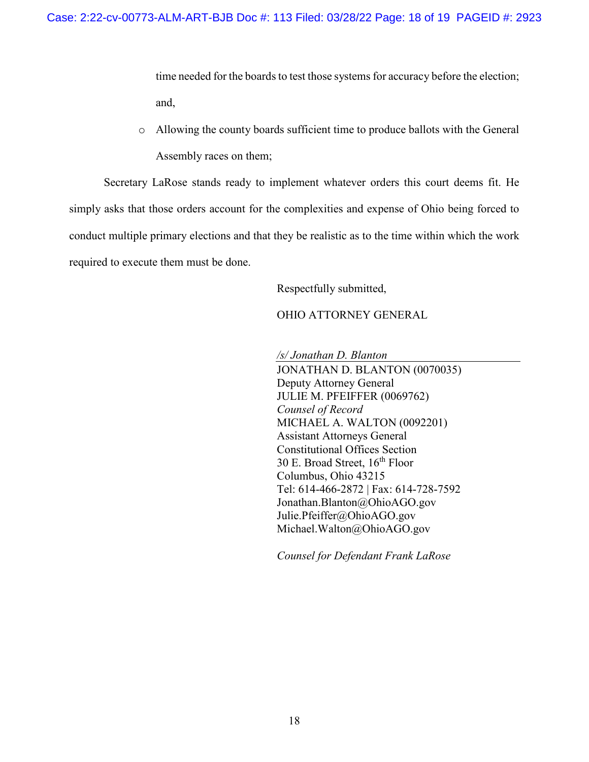time needed for the boards to test those systems for accuracy before the election; and,

o Allowing the county boards sufficient time to produce ballots with the General Assembly races on them;

Secretary LaRose stands ready to implement whatever orders this court deems fit. He simply asks that those orders account for the complexities and expense of Ohio being forced to conduct multiple primary elections and that they be realistic as to the time within which the work required to execute them must be done.

Respectfully submitted,

OHIO ATTORNEY GENERAL

*/s/ Jonathan D. Blanton* 

JONATHAN D. BLANTON (0070035) Deputy Attorney General JULIE M. PFEIFFER (0069762) *Counsel of Record*  MICHAEL A. WALTON (0092201) Assistant Attorneys General Constitutional Offices Section 30 E. Broad Street,  $16^{th}$  Floor Columbus, Ohio 43215 Tel: 614-466-2872 | Fax: 614-728-7592 Jonathan.Blanton@OhioAGO.gov Julie.Pfeiffer@OhioAGO.gov Michael.Walton@OhioAGO.gov

*Counsel for Defendant Frank LaRose*